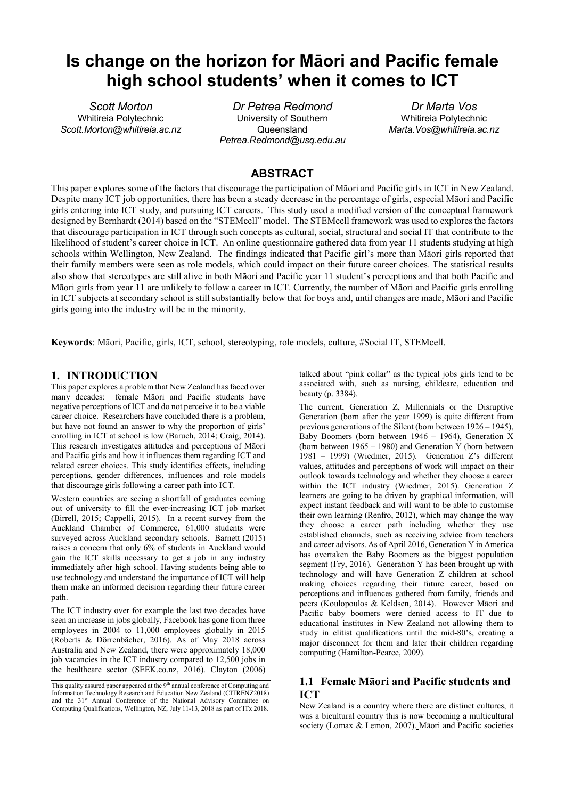# **Is change on the horizon for Māori and Pacific female high school students' when it comes to ICT**

*Scott Morton* Whitireia Polytechnic *Scott.Morton@whitireia.ac.nz*

*Dr Petrea Redmond* University of Southern Queensland *Petrea.Redmond@usq.edu.au*

*Dr Marta Vos* Whitireia Polytechnic *Marta.Vos@whitireia.ac.nz*

# **ABSTRACT**

This paper explores some of the factors that discourage the participation of Māori and Pacific girls in ICT in New Zealand. Despite many ICT job opportunities, there has been a steady decrease in the percentage of girls, especial Māori and Pacific girls entering into ICT study, and pursuing ICT careers. This study used a modified version of the conceptual framework designed by Bernhardt (2014) based on the "STEMcell" model. The STEMcell framework was used to explores the factors that discourage participation in ICT through such concepts as cultural, social, structural and social IT that contribute to the likelihood of student's career choice in ICT. An online questionnaire gathered data from year 11 students studying at high schools within Wellington, New Zealand. The findings indicated that Pacific girl's more than Māori girls reported that their family members were seen as role models, which could impact on their future career choices. The statistical results also show that stereotypes are still alive in both Māori and Pacific year 11 student's perceptions and that both Pacific and Māori girls from year 11 are unlikely to follow a career in ICT. Currently, the number of Māori and Pacific girls enrolling in ICT subjects at secondary school is still substantially below that for boys and, until changes are made, Māori and Pacific girls going into the industry will be in the minority.

**Keywords**: Māori, Pacific, girls, ICT, school, stereotyping, role models, culture, #Social IT, STEMcell.

#### **1. INTRODUCTION**

This paper explores a problem that New Zealand has faced over many decades: female Māori and Pacific students have negative perceptions of ICT and do not perceive it to be a viable career choice. Researchers have concluded there is a problem, but have not found an answer to why the proportion of girls' enrolling in ICT at school is low (Baruch, 2014; Craig, 2014). This research investigates attitudes and perceptions of Māori and Pacific girls and how it influences them regarding ICT and related career choices. This study identifies effects, including perceptions, gender differences, influences and role models that discourage girls following a career path into ICT.

Western countries are seeing a shortfall of graduates coming out of university to fill the ever-increasing ICT job market (Birrell, 2015; Cappelli, 2015). In a recent survey from the Auckland Chamber of Commerce, 61,000 students were surveyed across Auckland secondary schools. Barnett (2015) raises a concern that only 6% of students in Auckland would gain the ICT skills necessary to get a job in any industry immediately after high school. Having students being able to use technology and understand the importance of ICT will help them make an informed decision regarding their future career path.

The ICT industry over for example the last two decades have seen an increase in jobs globally, Facebook has gone from three employees in 2004 to 11,000 employees globally in 2015 (Roberts & Dörrenbächer, 2016). As of May 2018 across Australia and New Zealand, there were approximately 18,000 job vacancies in the ICT industry compared to 12,500 jobs in the healthcare sector (SEEK.co.nz, 2016). Clayton (2006) talked about "pink collar" as the typical jobs girls tend to be associated with, such as nursing, childcare, education and beauty (p. 3384).

The current, Generation Z, Millennials or the Disruptive Generation (born after the year 1999) is quite different from previous generations of the Silent (born between 1926 – 1945), Baby Boomers (born between 1946 – 1964), Generation X (born between  $1965 - 1980$ ) and Generation Y (born between 1981 – 1999) (Wiedmer, 2015). Generation Z's different values, attitudes and perceptions of work will impact on their outlook towards technology and whether they choose a career within the ICT industry (Wiedmer, 2015). Generation Z learners are going to be driven by graphical information, will expect instant feedback and will want to be able to customise their own learning (Renfro, 2012), which may change the way they choose a career path including whether they use established channels, such as receiving advice from teachers and career advisors. As of April 2016, Generation Y in America has overtaken the Baby Boomers as the biggest population segment (Fry, 2016). Generation Y has been brought up with technology and will have Generation Z children at school making choices regarding their future career, based on perceptions and influences gathered from family, friends and peers (Koulopoulos & Keldsen, 2014). However Māori and Pacific baby boomers were denied access to IT due to educational institutes in New Zealand not allowing them to study in elitist qualifications until the mid-80's, creating a major disconnect for them and later their children regarding computing (Hamilton-Pearce, 2009).

# **1.1 Female Māori and Pacific students and ICT**

New Zealand is a country where there are distinct cultures, it was a bicultural country this is now becoming a multicultural society (Lomax & Lemon, 2007). Māori and Pacific societies

This quality assured paper appeared at the  $9^{\text{th}}$  annual conference of Computing and Information Technology Research and Education New Zealand (CITRENZ2018) and the 31<sup>st</sup> Annual Conference of the National Advisory Committee on Computing Qualifications, Wellington, NZ, July 11-13, 2018 as part of ITx 2018.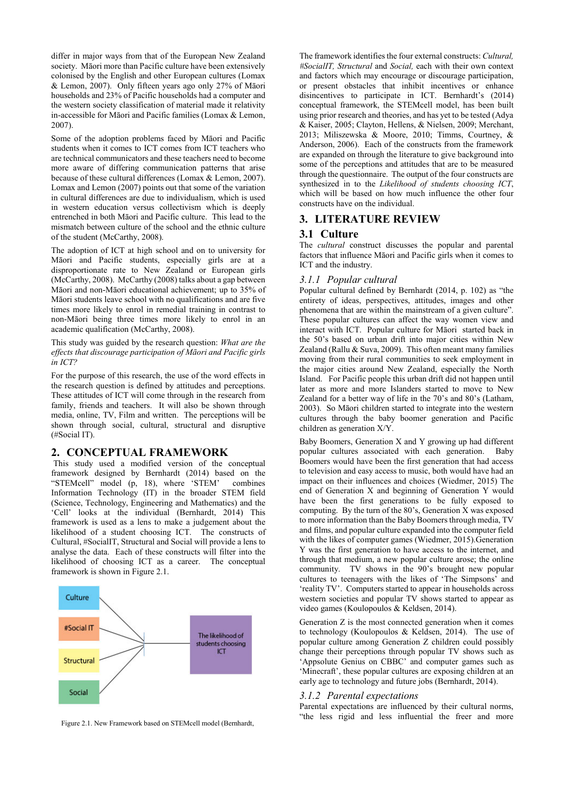differ in major ways from that of the European New Zealand society. Māori more than Pacific culture have been extensively colonised by the English and other European cultures (Lomax & Lemon, 2007). Only fifteen years ago only 27% of Māori households and 23% of Pacific households had a computer and the western society classification of material made it relativity in-accessible for Māori and Pacific families (Lomax & Lemon, 2007).

Some of the adoption problems faced by Māori and Pacific students when it comes to ICT comes from ICT teachers who are technical communicators and these teachers need to become more aware of differing communication patterns that arise because of these cultural differences (Lomax & Lemon, 2007). Lomax and Lemon (2007) points out that some of the variation in cultural differences are due to individualism, which is used in western education versus collectivism which is deeply entrenched in both Māori and Pacific culture. This lead to the mismatch between culture of the school and the ethnic culture of the student (McCarthy, 2008).

The adoption of ICT at high school and on to university for Māori and Pacific students, especially girls are at a disproportionate rate to New Zealand or European girls (McCarthy, 2008). McCarthy (2008) talks about a gap between Māori and non-Māori educational achievement; up to 35% of Māori students leave school with no qualifications and are five times more likely to enrol in remedial training in contrast to non-Māori being three times more likely to enrol in an academic qualification (McCarthy, 2008).

This study was guided by the research question: *What are the effects that discourage participation of Māori and Pacific girls in ICT?*

For the purpose of this research, the use of the word effects in the research question is defined by attitudes and perceptions. These attitudes of ICT will come through in the research from family, friends and teachers. It will also be shown through media, online, TV, Film and written. The perceptions will be shown through social, cultural, structural and disruptive (#Social IT).

#### **2. CONCEPTUAL FRAMEWORK**

This study used a modified version of the conceptual framework designed by Bernhardt (2014) based on the "STEMcell" model (p, 18), where 'STEM' combines Information Technology (IT) in the broader STEM field (Science, Technology, Engineering and Mathematics) and the 'Cell' looks at the individual (Bernhardt, 2014) This framework is used as a lens to make a judgement about the likelihood of a student choosing ICT. The constructs of Cultural, #SocialIT, Structural and Social will provide a lens to analyse the data. Each of these constructs will filter into the likelihood of choosing ICT as a career. The conceptual framework is shown in Figure 2.1.



The framework identifies the four external constructs: *Cultural, #SocialIT, Structural* and *Social,* each with their own context and factors which may encourage or discourage participation, or present obstacles that inhibit incentives or enhance disincentives to participate in ICT. Bernhardt's (2014) conceptual framework, the STEMcell model, has been built using prior research and theories, and has yet to be tested (Adya & Kaiser, 2005; Clayton, Hellens, & Nielsen, 2009; Merchant, 2013; Miliszewska & Moore, 2010; Timms, Courtney, & Anderson, 2006). Each of the constructs from the framework are expanded on through the literature to give background into some of the perceptions and attitudes that are to be measured through the questionnaire. The output of the four constructs are synthesized in to the *Likelihood of students choosing ICT*, which will be based on how much influence the other four constructs have on the individual.

#### **3. LITERATURE REVIEW**

## **3.1 Culture**

The *cultural* construct discusses the popular and parental factors that influence Māori and Pacific girls when it comes to ICT and the industry.

#### *3.1.1 Popular cultural*

Popular cultural defined by Bernhardt (2014, p. 102) as "the entirety of ideas, perspectives, attitudes, images and other phenomena that are within the mainstream of a given culture". These popular cultures can affect the way women view and interact with ICT. Popular culture for Māori started back in the 50's based on urban drift into major cities within New Zealand (Rallu & Suva, 2009). This often meant many families moving from their rural communities to seek employment in the major cities around New Zealand, especially the North Island. For Pacific people this urban drift did not happen until later as more and more Islanders started to move to New Zealand for a better way of life in the 70's and 80's (Latham, 2003). So Māori children started to integrate into the western cultures through the baby boomer generation and Pacific children as generation X/Y.

Baby Boomers, Generation X and Y growing up had different popular cultures associated with each generation. Baby Boomers would have been the first generation that had access to television and easy access to music, both would have had an impact on their influences and choices (Wiedmer, 2015) The end of Generation X and beginning of Generation Y would have been the first generations to be fully exposed to computing. By the turn of the 80's, Generation X was exposed to more information than the Baby Boomers through media, TV and films, and popular culture expanded into the computer field with the likes of computer games (Wiedmer, 2015).Generation Y was the first generation to have access to the internet, and through that medium, a new popular culture arose; the online community. TV shows in the 90's brought new popular cultures to teenagers with the likes of 'The Simpsons' and 'reality TV'. Computers started to appear in households across western societies and popular TV shows started to appear as video games (Koulopoulos & Keldsen, 2014).

Generation Z is the most connected generation when it comes to technology (Koulopoulos & Keldsen, 2014). The use of popular culture among Generation Z children could possibly change their perceptions through popular TV shows such as 'Appsolute Genius on CBBC' and computer games such as 'Minecraft', these popular cultures are exposing children at an early age to technology and future jobs (Bernhardt, 2014).

#### *3.1.2 Parental expectations*

Parental expectations are influenced by their cultural norms, "the less rigid and less influential the freer and more Figure 2.1. New Framework based on STEMcell model (Bernhardt,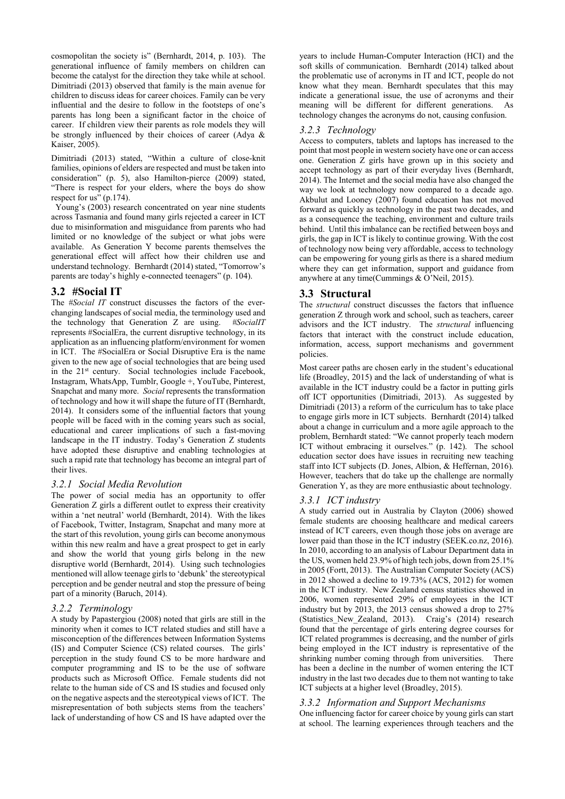cosmopolitan the society is" (Bernhardt, 2014, p. 103). The generational influence of family members on children can become the catalyst for the direction they take while at school. Dimitriadi (2013) observed that family is the main avenue for children to discuss ideas for career choices. Family can be very influential and the desire to follow in the footsteps of one's parents has long been a significant factor in the choice of career. If children view their parents as role models they will be strongly influenced by their choices of career (Adya & Kaiser, 2005).

Dimitriadi (2013) stated, "Within a culture of close-knit families, opinions of elders are respected and must be taken into consideration" (p. 5), also Hamilton-pierce (2009) stated, "There is respect for your elders, where the boys do show respect for us" (p.174).

 Young's (2003) research concentrated on year nine students across Tasmania and found many girls rejected a career in ICT due to misinformation and misguidance from parents who had limited or no knowledge of the subject or what jobs were available. As Generation Y become parents themselves the generational effect will affect how their children use and understand technology. Bernhardt (2014) stated, "Tomorrow's parents are today's highly e-connected teenagers" (p. 104).

# **3.2 #Social IT**

The *#Social IT* construct discusses the factors of the everchanging landscapes of social media, the terminology used and the technology that Generation Z are using. *#SocialIT* represents #SocialEra, the current disruptive technology, in its application as an influencing platform/environment for women in ICT. The #SocialEra or Social Disruptive Era is the name given to the new age of social technologies that are being used in the 21<sup>st</sup> century. Social technologies include Facebook, Instagram, WhatsApp, Tumblr, Google +, YouTube, Pinterest, Snapchat and many more. *Social* represents the transformation of technology and how it will shape the future of IT (Bernhardt, 2014). It considers some of the influential factors that young people will be faced with in the coming years such as social, educational and career implications of such a fast-moving landscape in the IT industry. Today's Generation Z students have adopted these disruptive and enabling technologies at such a rapid rate that technology has become an integral part of their lives.

## *3.2.1 Social Media Revolution*

The power of social media has an opportunity to offer Generation Z girls a different outlet to express their creativity within a 'net neutral' world (Bernhardt, 2014). With the likes of Facebook, Twitter, Instagram, Snapchat and many more at the start of this revolution, young girls can become anonymous within this new realm and have a great prospect to get in early and show the world that young girls belong in the new disruptive world (Bernhardt, 2014). Using such technologies mentioned will allow teenage girls to 'debunk' the stereotypical perception and be gender neutral and stop the pressure of being part of a minority (Baruch, 2014).

## *3.2.2 Terminology*

A study by Papastergiou (2008) noted that girls are still in the minority when it comes to ICT related studies and still have a misconception of the differences between Information Systems (IS) and Computer Science (CS) related courses. The girls' perception in the study found CS to be more hardware and computer programming and IS to be the use of software products such as Microsoft Office. Female students did not relate to the human side of CS and IS studies and focused only on the negative aspects and the stereotypical views of ICT. The misrepresentation of both subjects stems from the teachers' lack of understanding of how CS and IS have adapted over the

years to include Human-Computer Interaction (HCI) and the soft skills of communication. Bernhardt (2014) talked about the problematic use of acronyms in IT and ICT, people do not know what they mean. Bernhardt speculates that this may indicate a generational issue, the use of acronyms and their meaning will be different for different generations. As technology changes the acronyms do not, causing confusion.

## *3.2.3 Technology*

Access to computers, tablets and laptops has increased to the point that most people in western society have one or can access one. Generation Z girls have grown up in this society and accept technology as part of their everyday lives (Bernhardt, 2014). The Internet and the social media have also changed the way we look at technology now compared to a decade ago. Akbulut and Looney (2007) found education has not moved forward as quickly as technology in the past two decades, and as a consequence the teaching, environment and culture trails behind. Until this imbalance can be rectified between boys and girls, the gap in ICT is likely to continue growing. With the cost of technology now being very affordable, access to technology can be empowering for young girls as there is a shared medium where they can get information, support and guidance from anywhere at any time(Cummings & O'Neil, 2015).

# **3.3 Structural**

The *structural* construct discusses the factors that influence generation Z through work and school, such as teachers, career advisors and the ICT industry. The *structural* influencing factors that interact with the construct include education, information, access, support mechanisms and government policies.

Most career paths are chosen early in the student's educational life (Broadley, 2015) and the lack of understanding of what is available in the ICT industry could be a factor in putting girls off ICT opportunities (Dimitriadi, 2013). As suggested by Dimitriadi (2013) a reform of the curriculum has to take place to engage girls more in ICT subjects. Bernhardt (2014) talked about a change in curriculum and a more agile approach to the problem, Bernhardt stated: "We cannot properly teach modern ICT without embracing it ourselves." (p. 142). The school education sector does have issues in recruiting new teaching staff into ICT subjects (D. Jones, Albion, & Heffernan, 2016). However, teachers that do take up the challenge are normally Generation Y, as they are more enthusiastic about technology.

## *3.3.1 ICT industry*

A study carried out in Australia by Clayton (2006) showed female students are choosing healthcare and medical careers instead of ICT careers, even though those jobs on average are lower paid than those in the ICT industry (SEEK.co.nz, 2016). In 2010, according to an analysis of Labour Department data in the US, women held 23.9% of high tech jobs, down from 25.1% in 2005 (Fortt, 2013). The Australian Computer Society (ACS) in 2012 showed a decline to 19.73% (ACS, 2012) for women in the ICT industry. New Zealand census statistics showed in 2006, women represented 29% of employees in the ICT industry but by 2013, the 2013 census showed a drop to 27% (Statistics New Zealand, 2013). Craig's (2014) research found that the percentage of girls entering degree courses for ICT related programmes is decreasing, and the number of girls being employed in the ICT industry is representative of the shrinking number coming through from universities. There has been a decline in the number of women entering the ICT industry in the last two decades due to them not wanting to take ICT subjects at a higher level (Broadley, 2015).

## *3.3.2 Information and Support Mechanisms*

One influencing factor for career choice by young girls can start at school. The learning experiences through teachers and the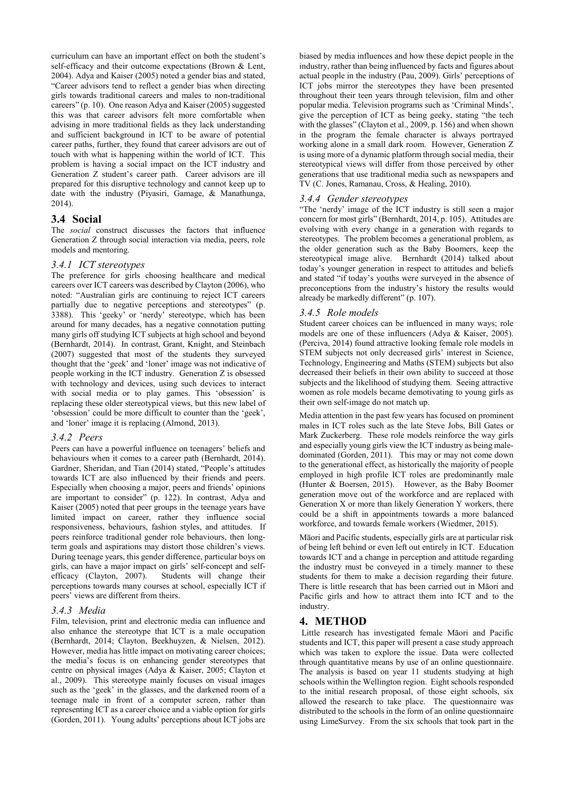curriculum can have an important effect on both the student's self-efficacy and their outcome expectations (Brown & Lent, 2004). Adya and Kaiser (2005) noted a gender bias and stated, "Career advisors tend to reflect a gender bias when directing girls towards traditional careers and males to non-traditional careers" (p. 10). One reason Adya and Kaiser (2005) suggested this was that career advisors felt more comfortable when advising in more traditional fields as they lack understanding and sufficient background in ICT to be aware of potential career paths, further, they found that career advisors are out of touch with what is happening within the world of ICT. This problem is having a social impact on the ICT industry and Generation Z student's career path. Career advisors are ill prepared for this disruptive technology and cannot keep up to date with the industry (Piyasiri, Gamage, & Manathunga, 2014).

#### **3.4 Social**

The *social* construct discusses the factors that influence Generation Z through social interaction via media, peers, role models and mentoring.

#### *3.4.1 ICT stereotypes*

The preference for girls choosing healthcare and medical careers over ICT careers was described by Clayton (2006), who noted: "Australian girls are continuing to reject ICT careers partially due to negative perceptions and stereotypes" (p. 3388). This 'geeky' or 'nerdy' stereotype, which has been around for many decades, has a negative connotation putting many girls off studying ICT subjects at high school and beyond (Bernhardt, 2014). In contrast, Grant, Knight, and Steinbach (2007) suggested that most of the students they surveyed thought that the 'geek' and 'loner' image was not indicative of people working in the ICT industry. Generation Z is obsessed with technology and devices, using such devices to interact with social media or to play games. This 'obsession' is replacing these older stereotypical views, but this new label of 'obsession' could be more difficult to counter than the 'geek', and 'loner' image it is replacing (Almond, 2013).

## *3.4.2 Peers*

Peers can have a powerful influence on teenagers' beliefs and behaviours when it comes to a career path (Bernhardt, 2014). Gardner, Sheridan, and Tian (2014) stated, "People's attitudes towards ICT are also influenced by their friends and peers. Especially when choosing a major, peers and friends' opinions are important to consider" (p. 122). In contrast, Adya and Kaiser (2005) noted that peer groups in the teenage years have limited impact on career, rather they influence social responsiveness, behaviours, fashion styles, and attitudes. If peers reinforce traditional gender role behaviours, then longterm goals and aspirations may distort those children's views. During teenage years, this gender difference, particular boys on girls, can have a major impact on girls' self-concept and selfefficacy (Clayton, 2007). Students will change their perceptions towards many courses at school, especially ICT if peers' views are different from theirs.

#### *3.4.3 Media*

Film, television, print and electronic media can influence and also enhance the stereotype that ICT is a male occupation (Bernhardt, 2014; Clayton, Beekhuyzen, & Nielsen, 2012). However, media has little impact on motivating career choices; the media's focus is on enhancing gender stereotypes that centre on physical images (Adya & Kaiser, 2005; Clayton et al., 2009). This stereotype mainly focuses on visual images such as the 'geek' in the glasses, and the darkened room of a teenage male in front of a computer screen, rather than representing ICT as a career choice and a viable option for girls (Gorden, 2011). Young adults' perceptions about ICT jobs are

biased by media influences and how these depict people in the industry, rather than being influenced by facts and figures about actual people in the industry (Pau, 2009). Girls' perceptions of ICT jobs mirror the stereotypes they have been presented throughout their teen years through television, film and other popular media. Television programs such as 'Criminal Minds', give the perception of ICT as being geeky, stating "the tech with the glasses" (Clayton et al., 2009, p. 156) and when shown in the program the female character is always portrayed working alone in a small dark room. However, Generation Z is using more of a dynamic platform through social media, their stereotypical views will differ from those perceived by other generations that use traditional media such as newspapers and TV (C. Jones, Ramanau, Cross, & Healing, 2010).

#### *3.4.4 Gender stereotypes*

"The 'nerdy' image of the ICT industry is still seen a major concern for most girls" (Bernhardt, 2014, p. 105). Attitudes are evolving with every change in a generation with regards to stereotypes. The problem becomes a generational problem, as the older generation such as the Baby Boomers, keep the stereotypical image alive. Bernhardt (2014) talked about today's younger generation in respect to attitudes and beliefs and stated "if today's youths were surveyed in the absence of preconceptions from the industry's history the results would already be markedly different" (p. 107).

#### *3.4.5 Role models*

Student career choices can be influenced in many ways; role models are one of these influencers (Adya & Kaiser, 2005). (Perciva, 2014) found attractive looking female role models in STEM subjects not only decreased girls' interest in Science, Technology, Engineering and Maths (STEM) subjects but also decreased their beliefs in their own ability to succeed at those subjects and the likelihood of studying them. Seeing attractive women as role models became demotivating to young girls as their own self-image do not match up.

Media attention in the past few years has focused on prominent males in ICT roles such as the late Steve Jobs, Bill Gates or Mark Zuckerberg. These role models reinforce the way girls and especially young girls view the ICT industry as being maledominated (Gorden, 2011). This may or may not come down to the generational effect, as historically the majority of people employed in high profile ICT roles are predominantly male (Hunter & Boersen, 2015). However, as the Baby Boomer generation move out of the workforce and are replaced with Generation X or more than likely Generation Y workers, there could be a shift in appointments towards a more balanced workforce, and towards female workers (Wiedmer, 2015).

Māori and Pacific students, especially girls are at particular risk of being left behind or even left out entirely in ICT. Education towards ICT and a change in perception and attitude regarding the industry must be conveyed in a timely manner to these students for them to make a decision regarding their future. There is little research that has been carried out in Māori and Pacific girls and how to attract them into ICT and to the industry.

## **4. METHOD**

Little research has investigated female Māori and Pacific students and ICT, this paper will present a case study approach which was taken to explore the issue. Data were collected through quantitative means by use of an online questionnaire. The analysis is based on year 11 students studying at high schools within the Wellington region. Eight schools responded to the initial research proposal, of those eight schools, six allowed the research to take place. The questionnaire was distributed to the schools in the form of an online questionnaire using LimeSurvey. From the six schools that took part in the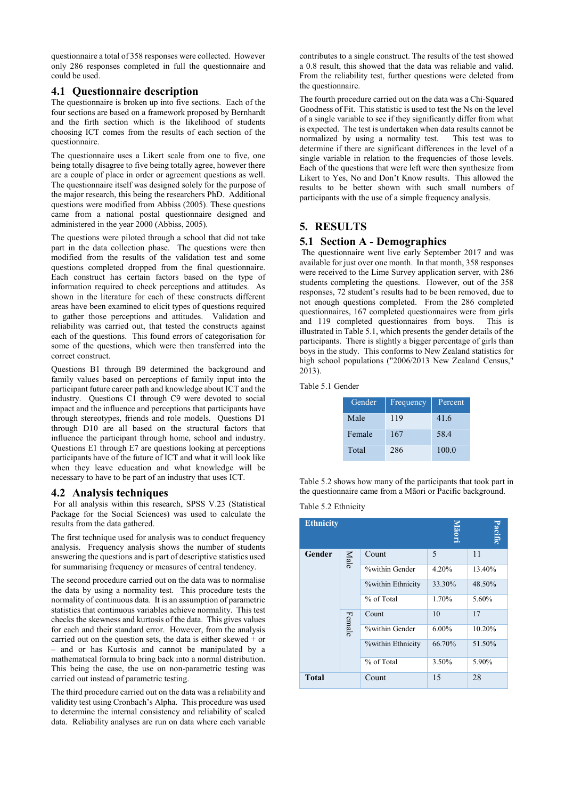questionnaire a total of 358 responses were collected. However only 286 responses completed in full the questionnaire and could be used.

# **4.1 Questionnaire description**

The questionnaire is broken up into five sections. Each of the four sections are based on a framework proposed by Bernhardt and the firth section which is the likelihood of students choosing ICT comes from the results of each section of the questionnaire.

The questionnaire uses a Likert scale from one to five, one being totally disagree to five being totally agree, however there are a couple of place in order or agreement questions as well. The questionnaire itself was designed solely for the purpose of the major research, this being the researchers PhD. Additional questions were modified from Abbiss (2005). These questions came from a national postal questionnaire designed and administered in the year 2000 (Abbiss, 2005).

The questions were piloted through a school that did not take part in the data collection phase. The questions were then modified from the results of the validation test and some questions completed dropped from the final questionnaire. Each construct has certain factors based on the type of information required to check perceptions and attitudes. As shown in the literature for each of these constructs different areas have been examined to elicit types of questions required to gather those perceptions and attitudes. Validation and reliability was carried out, that tested the constructs against each of the questions. This found errors of categorisation for some of the questions, which were then transferred into the correct construct.

Questions B1 through B9 determined the background and family values based on perceptions of family input into the participant future career path and knowledge about ICT and the industry. Questions C1 through C9 were devoted to social impact and the influence and perceptions that participants have through stereotypes, friends and role models. Questions D1 through D10 are all based on the structural factors that influence the participant through home, school and industry. Questions E1 through E7 are questions looking at perceptions participants have of the future of ICT and what it will look like when they leave education and what knowledge will be necessary to have to be part of an industry that uses ICT.

## **4.2 Analysis techniques**

For all analysis within this research, SPSS V.23 (Statistical Package for the Social Sciences) was used to calculate the results from the data gathered.

The first technique used for analysis was to conduct frequency analysis. Frequency analysis shows the number of students answering the questions and is part of descriptive statistics used for summarising frequency or measures of central tendency.

The second procedure carried out on the data was to normalise the data by using a normality test. This procedure tests the normality of continuous data. It is an assumption of parametric statistics that continuous variables achieve normality. This test checks the skewness and kurtosis of the data. This gives values for each and their standard error. However, from the analysis carried out on the question sets, the data is either skewed  $+$  or – and or has Kurtosis and cannot be manipulated by a mathematical formula to bring back into a normal distribution. This being the case, the use on non-parametric testing was carried out instead of parametric testing.

The third procedure carried out on the data was a reliability and validity test using Cronbach's Alpha. This procedure was used to determine the internal consistency and reliability of scaled data. Reliability analyses are run on data where each variable contributes to a single construct. The results of the test showed a 0.8 result, this showed that the data was reliable and valid. From the reliability test, further questions were deleted from the questionnaire.

The fourth procedure carried out on the data was a Chi-Squared Goodness of Fit. This statistic is used to test the Ns on the level of a single variable to see if they significantly differ from what is expected. The test is undertaken when data results cannot be normalized by using a normality test. This test was to determine if there are significant differences in the level of a single variable in relation to the frequencies of those levels. Each of the questions that were left were then synthesize from Likert to Yes, No and Don't Know results. This allowed the results to be better shown with such small numbers of participants with the use of a simple frequency analysis.

# **5. RESULTS**

# **5.1 Section A - Demographics**

The questionnaire went live early September 2017 and was available for just over one month. In that month, 358 responses were received to the Lime Survey application server, with 286 students completing the questions. However, out of the 358 responses, 72 student's results had to be been removed, due to not enough questions completed. From the 286 completed questionnaires, 167 completed questionnaires were from girls and 119 completed questionnaires from boys. This is illustrated in Table 5.1, which presents the gender details of the participants. There is slightly a bigger percentage of girls than boys in the study. This conforms to New Zealand statistics for high school populations ("2006/2013 New Zealand Census," 2013).

#### Table 5.1 Gender

| Gender | <b>Frequency</b> | Percent |
|--------|------------------|---------|
| Male   | 119              | 41.6    |
| Female | 167              | 58.4    |
| Total  | 286              | 100.0   |

Table 5.2 shows how many of the participants that took part in the questionnaire came from a Māori or Pacific background.

| Table 5.2 Ethnicity |  |  |  |
|---------------------|--|--|--|
|---------------------|--|--|--|

| <b>Ethnicity</b> |        |                          | Pacific<br>Māori |        |
|------------------|--------|--------------------------|------------------|--------|
| Gender           | Male   | Count                    | 5                | 11     |
|                  |        | <b>Within Gender</b>     | 4.20%            | 13.40% |
|                  |        | <b>%within Ethnicity</b> | 33.30%           | 48.50% |
|                  |        | % of Total               | 1.70%            | 5.60%  |
|                  | Female | Count                    | 10               | 17     |
|                  |        | %within Gender           | $6.00\%$         | 10.20% |
|                  |        | <b>%within Ethnicity</b> | 66.70%           | 51.50% |
|                  |        | % of Total               | 3.50%            | 5.90%  |
| <b>Total</b>     |        | Count                    | 15               | 28     |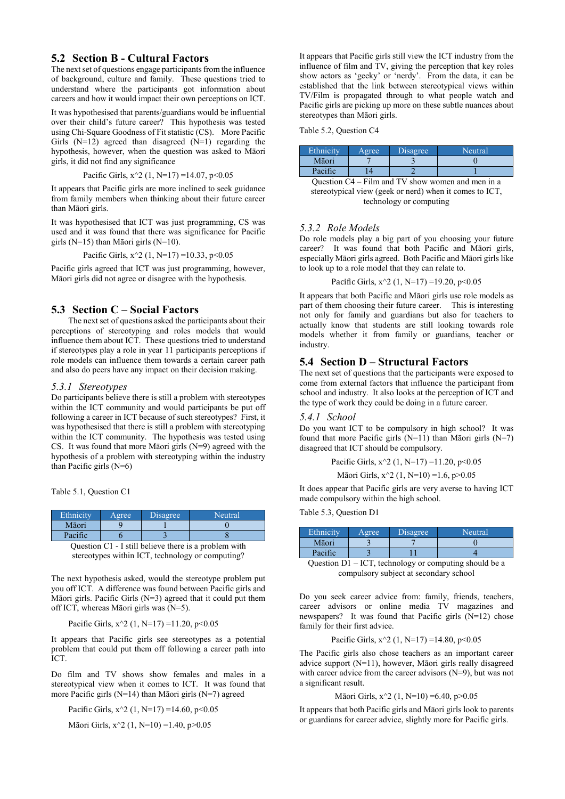## **5.2 Section B - Cultural Factors**

The next set of questions engage participants from the influence of background, culture and family. These questions tried to understand where the participants got information about careers and how it would impact their own perceptions on ICT.

It was hypothesised that parents/guardians would be influential over their child's future career? This hypothesis was tested using Chi-Square Goodness of Fit statistic (CS). More Pacific Girls  $(N=12)$  agreed than disagreed  $(N=1)$  regarding the hypothesis, however, when the question was asked to Māori girls, it did not find any significance

Pacific Girls,  $x^2$  (1, N=17) =14.07, p<0.05

It appears that Pacific girls are more inclined to seek guidance from family members when thinking about their future career than Māori girls.

It was hypothesised that ICT was just programming, CS was used and it was found that there was significance for Pacific girls (N=15) than Māori girls (N=10).

Pacific Girls,  $x^2 (1, N=17) = 10.33$ ,  $p < 0.05$ 

Pacific girls agreed that ICT was just programming, however, Māori girls did not agree or disagree with the hypothesis.

## **5.3 Section C – Social Factors**

The next set of questions asked the participants about their perceptions of stereotyping and roles models that would influence them about ICT. These questions tried to understand if stereotypes play a role in year 11 participants perceptions if role models can influence them towards a certain career path and also do peers have any impact on their decision making.

#### *5.3.1 Stereotypes*

Do participants believe there is still a problem with stereotypes within the ICT community and would participants be put off following a career in ICT because of such stereotypes? First, it was hypothesised that there is still a problem with stereotyping within the ICT community. The hypothesis was tested using CS. It was found that more Māori girls (N=9) agreed with the hypothesis of a problem with stereotyping within the industry than Pacific girls (N=6)

Table 5.1, Question C1

| Ethnicity | Agree                           | Disagree  | Neutral    |
|-----------|---------------------------------|-----------|------------|
| Māori     |                                 |           |            |
| Pacific   |                                 |           |            |
| $\sim$    | <b>T</b> . '11 1 1'<br>$\sim$ 1 | $\cdot$ 1 | $\cdot$ .1 |



The next hypothesis asked, would the stereotype problem put you off ICT. A difference was found between Pacific girls and Māori girls. Pacific Girls (N=3) agreed that it could put them off ICT, whereas Māori girls was (N=5).

Pacific Girls,  $x^2$  (1, N=17) =11.20, p<0.05

It appears that Pacific girls see stereotypes as a potential problem that could put them off following a career path into ICT.

Do film and TV shows show females and males in a stereotypical view when it comes to ICT. It was found that more Pacific girls ( $N=14$ ) than Māori girls ( $N=7$ ) agreed

Pacific Girls,  $x^2$  (1, N=17) =14.60, p<0.05

Māori Girls, x^2 (1, N=10) =1.40, p>0.05

It appears that Pacific girls still view the ICT industry from the influence of film and TV, giving the perception that key roles show actors as 'geeky' or 'nerdy'. From the data, it can be established that the link between stereotypical views within TV/Film is propagated through to what people watch and Pacific girls are picking up more on these subtle nuances about stereotypes than Māori girls.

Table 5.2, Question C4

| Ethnicity | Agree | <b>Disagree</b> | Neutral |
|-----------|-------|-----------------|---------|
| Māori     |       |                 |         |
| Pacific   |       |                 |         |

Question C4 – Film and TV show women and men in a stereotypical view (geek or nerd) when it comes to ICT, technology or computing

#### *5.3.2 Role Models*

Do role models play a big part of you choosing your future career? It was found that both Pacific and Māori girls, especially Māori girls agreed. Both Pacific and Māori girls like to look up to a role model that they can relate to.

Pacific Girls,  $x^2 (1, N=17) = 19.20$ ,  $p < 0.05$ 

It appears that both Pacific and Māori girls use role models as part of them choosing their future career. This is interesting not only for family and guardians but also for teachers to actually know that students are still looking towards role models whether it from family or guardians, teacher or industry.

## **5.4 Section D – Structural Factors**

The next set of questions that the participants were exposed to come from external factors that influence the participant from school and industry. It also looks at the perception of ICT and the type of work they could be doing in a future career.

#### *5.4.1 School*

Do you want ICT to be compulsory in high school? It was found that more Pacific girls  $(N=11)$  than Māori girls  $(N=7)$ disagreed that ICT should be compulsory.

> Pacific Girls,  $x^2$  (1, N=17) =11.20, p<0.05 Māori Girls, x^2 (1, N=10) =1.6, p>0.05

It does appear that Pacific girls are very averse to having ICT made compulsory within the high school.

Table 5.3, Question D1

| Ethnicity         | Agree      | Disagree | Neutral |
|-------------------|------------|----------|---------|
| Māori             |            |          |         |
| Pacific           |            |          |         |
| $\mathbf{r}$<br>⌒ | $T \cap T$ |          | 1 1 1   |

Question D1 – ICT, technology or computing should be a compulsory subject at secondary school

Do you seek career advice from: family, friends, teachers, career advisors or online media TV magazines and newspapers? It was found that Pacific girls (N=12) chose family for their first advice.

Pacific Girls, 
$$
x^2(1, N=17) = 14.80
$$
,  $p < 0.05$ 

The Pacific girls also chose teachers as an important career advice support (N=11), however, Māori girls really disagreed with career advice from the career advisors (N=9), but was not a significant result.

#### Māori Girls, x^2 (1, N=10) =6.40, p>0.05

It appears that both Pacific girls and Māori girls look to parents or guardians for career advice, slightly more for Pacific girls.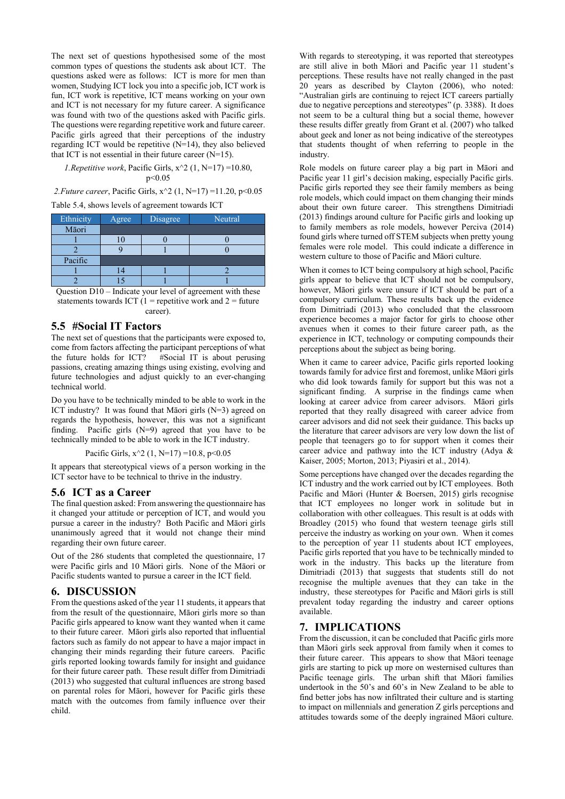The next set of questions hypothesised some of the most common types of questions the students ask about ICT. The questions asked were as follows: ICT is more for men than women, Studying ICT lock you into a specific job, ICT work is fun, ICT work is repetitive, ICT means working on your own and ICT is not necessary for my future career. A significance was found with two of the questions asked with Pacific girls. The questions were regarding repetitive work and future career. Pacific girls agreed that their perceptions of the industry regarding ICT would be repetitive (N=14), they also believed that ICT is not essential in their future career  $(N=15)$ .

#### *1.Repetitive work*, Pacific Girls,  $x^2 (1, N=17) = 10.80$ , p<0.05

*2.Future career*, Pacific Girls, x^2 (1, N=17) =11.20, p<0.05

Table 5.4, shows levels of agreement towards ICT

| Ethnicity | Agree | Disagree | Neutral |
|-----------|-------|----------|---------|
| Māori     |       |          |         |
|           |       |          |         |
|           |       |          |         |
| Pacific   |       |          |         |
|           |       |          |         |
|           |       |          |         |

Question D10 – Indicate your level of agreement with these statements towards ICT  $(1$  = repetitive work and  $2$  = future career).

## **5.5 #Social IT Factors**

The next set of questions that the participants were exposed to, come from factors affecting the participant perceptions of what the future holds for ICT? #Social IT is about perusing passions, creating amazing things using existing, evolving and future technologies and adjust quickly to an ever-changing technical world.

Do you have to be technically minded to be able to work in the ICT industry? It was found that Māori girls (N=3) agreed on regards the hypothesis, however, this was not a significant finding. Pacific girls (N=9) agreed that you have to be technically minded to be able to work in the ICT industry.

Pacific Girls,  $x^2$  (1, N=17) =10.8, p<0.05

It appears that stereotypical views of a person working in the ICT sector have to be technical to thrive in the industry.

# **5.6 ICT as a Career**

The final question asked: From answering the questionnaire has it changed your attitude or perception of ICT, and would you pursue a career in the industry? Both Pacific and Māori girls unanimously agreed that it would not change their mind regarding their own future career.

Out of the 286 students that completed the questionnaire, 17 were Pacific girls and 10 Māori girls. None of the Māori or Pacific students wanted to pursue a career in the ICT field.

# **6. DISCUSSION**

From the questions asked of the year 11 students, it appears that from the result of the questionnaire, Māori girls more so than Pacific girls appeared to know want they wanted when it came to their future career. Māori girls also reported that influential factors such as family do not appear to have a major impact in changing their minds regarding their future careers. Pacific girls reported looking towards family for insight and guidance for their future career path. These result differ from Dimitriadi (2013) who suggested that cultural influences are strong based on parental roles for Māori, however for Pacific girls these match with the outcomes from family influence over their child.

With regards to stereotyping, it was reported that stereotypes are still alive in both Māori and Pacific year 11 student's perceptions. These results have not really changed in the past 20 years as described by Clayton (2006), who noted: "Australian girls are continuing to reject ICT careers partially due to negative perceptions and stereotypes" (p. 3388). It does not seem to be a cultural thing but a social theme, however these results differ greatly from Grant et al. (2007) who talked about geek and loner as not being indicative of the stereotypes that students thought of when referring to people in the industry.

Role models on future career play a big part in Māori and Pacific year 11 girl's decision making, especially Pacific girls. Pacific girls reported they see their family members as being role models, which could impact on them changing their minds about their own future career. This strengthens Dimitriadi (2013) findings around culture for Pacific girls and looking up to family members as role models, however Perciva (2014) found girls where turned off STEM subjects when pretty young females were role model. This could indicate a difference in western culture to those of Pacific and Māori culture.

When it comes to ICT being compulsory at high school, Pacific girls appear to believe that ICT should not be compulsory, however, Māori girls were unsure if ICT should be part of a compulsory curriculum. These results back up the evidence from Dimitriadi (2013) who concluded that the classroom experience becomes a major factor for girls to choose other avenues when it comes to their future career path, as the experience in ICT, technology or computing compounds their perceptions about the subject as being boring.

When it came to career advice, Pacific girls reported looking towards family for advice first and foremost, unlike Māori girls who did look towards family for support but this was not a significant finding. A surprise in the findings came when looking at career advice from career advisors. Māori girls reported that they really disagreed with career advice from career advisors and did not seek their guidance. This backs up the literature that career advisors are very low down the list of people that teenagers go to for support when it comes their career advice and pathway into the ICT industry (Adya & Kaiser, 2005; Morton, 2013; Piyasiri et al., 2014).

Some perceptions have changed over the decades regarding the ICT industry and the work carried out by ICT employees. Both Pacific and Māori (Hunter & Boersen, 2015) girls recognise that ICT employees no longer work in solitude but in collaboration with other colleagues. This result is at odds with Broadley (2015) who found that western teenage girls still perceive the industry as working on your own. When it comes to the perception of year 11 students about ICT employees, Pacific girls reported that you have to be technically minded to work in the industry. This backs up the literature from Dimitriadi (2013) that suggests that students still do not recognise the multiple avenues that they can take in the industry, these stereotypes for Pacific and Māori girls is still prevalent today regarding the industry and career options available.

# **7. IMPLICATIONS**

From the discussion, it can be concluded that Pacific girls more than Māori girls seek approval from family when it comes to their future career. This appears to show that Māori teenage girls are starting to pick up more on westernised cultures than Pacific teenage girls. The urban shift that Māori families undertook in the 50's and 60's in New Zealand to be able to find better jobs has now infiltrated their culture and is starting to impact on millennials and generation Z girls perceptions and attitudes towards some of the deeply ingrained Māori culture.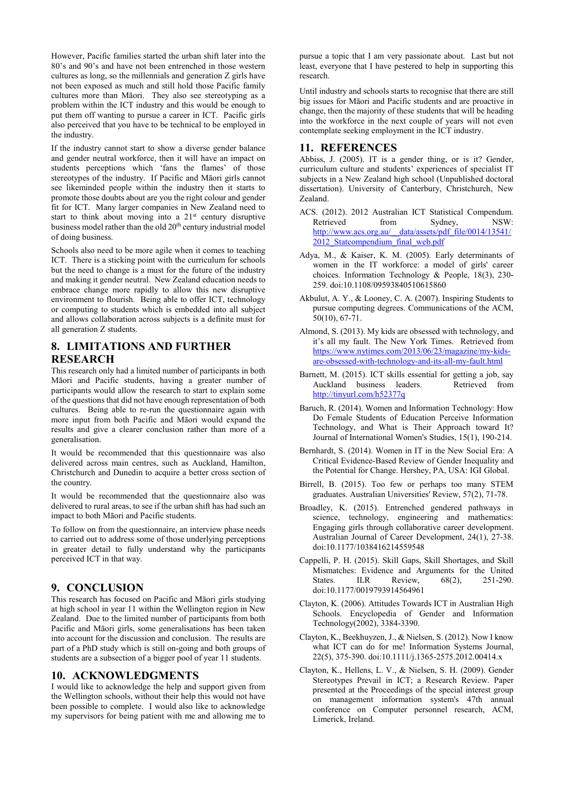However, Pacific families started the urban shift later into the 80's and 90's and have not been entrenched in those western cultures as long, so the millennials and generation Z girls have not been exposed as much and still hold those Pacific family cultures more than Māori. They also see stereotyping as a problem within the ICT industry and this would be enough to put them off wanting to pursue a career in ICT. Pacific girls also perceived that you have to be technical to be employed in the industry.

If the industry cannot start to show a diverse gender balance and gender neutral workforce, then it will have an impact on students perceptions which 'fans the flames' of those stereotypes of the industry. If Pacific and Māori girls cannot see likeminded people within the industry then it starts to promote those doubts about are you the right colour and gender fit for ICT. Many larger companies in New Zealand need to start to think about moving into a 21<sup>st</sup> century disruptive business model rather than the old 20<sup>th</sup> century industrial model of doing business.

Schools also need to be more agile when it comes to teaching ICT. There is a sticking point with the curriculum for schools but the need to change is a must for the future of the industry and making it gender neutral. New Zealand education needs to embrace change more rapidly to allow this new disruptive environment to flourish. Being able to offer ICT, technology or computing to students which is embedded into all subject and allows collaboration across subjects is a definite must for all generation Z students.

# **8. LIMITATIONS AND FURTHER RESEARCH**

This research only had a limited number of participants in both Māori and Pacific students, having a greater number of participants would allow the research to start to explain some of the questions that did not have enough representation of both cultures. Being able to re-run the questionnaire again with more input from both Pacific and Māori would expand the results and give a clearer conclusion rather than more of a generalisation.

It would be recommended that this questionnaire was also delivered across main centres, such as Auckland, Hamilton, Christchurch and Dunedin to acquire a better cross section of the country.

It would be recommended that the questionnaire also was delivered to rural areas, to see if the urban shift has had such an impact to both Māori and Pacific students.

To follow on from the questionnaire, an interview phase needs to carried out to address some of those underlying perceptions in greater detail to fully understand why the participants perceived ICT in that way.

# **9. CONCLUSION**

This research has focused on Pacific and Māori girls studying at high school in year 11 within the Wellington region in New Zealand. Due to the limited number of participants from both Pacific and Māori girls, some generalisations has been taken into account for the discussion and conclusion. The results are part of a PhD study which is still on-going and both groups of students are a subsection of a bigger pool of year 11 students.

## **10. ACKNOWLEDGMENTS**

I would like to acknowledge the help and support given from the Wellington schools, without their help this would not have been possible to complete. I would also like to acknowledge my supervisors for being patient with me and allowing me to pursue a topic that I am very passionate about. Last but not least, everyone that I have pestered to help in supporting this research.

Until industry and schools starts to recognise that there are still big issues for Māori and Pacific students and are proactive in change, then the majority of these students that will be heading into the workforce in the next couple of years will not even contemplate seeking employment in the ICT industry.

## **11. REFERENCES**

Abbiss, J. (2005). IT is a gender thing, or is it? Gender, curriculum culture and students' experiences of specialist IT subjects in a New Zealand high school (Unpublished doctoral dissertation). University of Canterbury, Christchurch, New Zealand.

- ACS. (2012). 2012 Australian ICT Statistical Compendum. Retrieved from Sydney, NSW: [http://www.acs.org.au/\\_\\_data/assets/pdf\\_file/0014/13541/](http://www.acs.org.au/__data/assets/pdf_file/0014/13541/2012_Statcompendium_final_web.pdf) [2012\\_Statcompendium\\_final\\_web.pdf](http://www.acs.org.au/__data/assets/pdf_file/0014/13541/2012_Statcompendium_final_web.pdf)
- Adya, M., & Kaiser, K. M. (2005). Early determinants of women in the IT workforce: a model of girls' career choices. Information Technology & People, 18(3), 230- 259. doi:10.1108/09593840510615860
- Akbulut, A. Y., & Looney, C. A. (2007). Inspiring Students to pursue computing degrees. Communications of the ACM, 50(10), 67-71.
- Almond, S. (2013). My kids are obsessed with technology, and it's all my fault. The New York Times. Retrieved from [https://www.nytimes.com/2013/06/23/magazine/my-kids](https://www.nytimes.com/2013/06/23/magazine/my-kids-are-obsessed-with-technology-and-its-all-my-fault.html)[are-obsessed-with-technology-and-its-all-my-fault.html](https://www.nytimes.com/2013/06/23/magazine/my-kids-are-obsessed-with-technology-and-its-all-my-fault.html)
- Barnett, M. (2015). ICT skills essential for getting a job, say Auckland business leaders. <http://tinyurl.com/h52377q>
- Baruch, R. (2014). Women and Information Technology: How Do Female Students of Education Perceive Information Technology, and What is Their Approach toward It? Journal of International Women's Studies, 15(1), 190-214.
- Bernhardt, S. (2014). Women in IT in the New Social Era: A Critical Evidence-Based Review of Gender Inequality and the Potential for Change. Hershey, PA, USA: IGI Global.
- Birrell, B. (2015). Too few or perhaps too many STEM graduates. Australian Universities' Review, 57(2), 71-78.
- Broadley, K. (2015). Entrenched gendered pathways in science, technology, engineering and mathematics: Engaging girls through collaborative career development. Australian Journal of Career Development, 24(1), 27-38. doi:10.1177/1038416214559548
- Cappelli, P. H. (2015). Skill Gaps, Skill Shortages, and Skill Mismatches: Evidence and Arguments for the United States. ILR Review, 68(2), 251-290. doi:10.1177/0019793914564961
- Clayton, K. (2006). Attitudes Towards ICT in Australian High Schools. Encyclopedia of Gender and Information Technology(2002), 3384-3390.
- Clayton, K., Beekhuyzen, J., & Nielsen, S. (2012). Now I know what ICT can do for me! Information Systems Journal, 22(5), 375-390. doi:10.1111/j.1365-2575.2012.00414.x
- Clayton, K., Hellens, L. V., & Nielsen, S. H. (2009). Gender Stereotypes Prevail in ICT; a Research Review. Paper presented at the Proceedings of the special interest group on management information system's 47th annual conference on Computer personnel research, ACM, Limerick, Ireland.